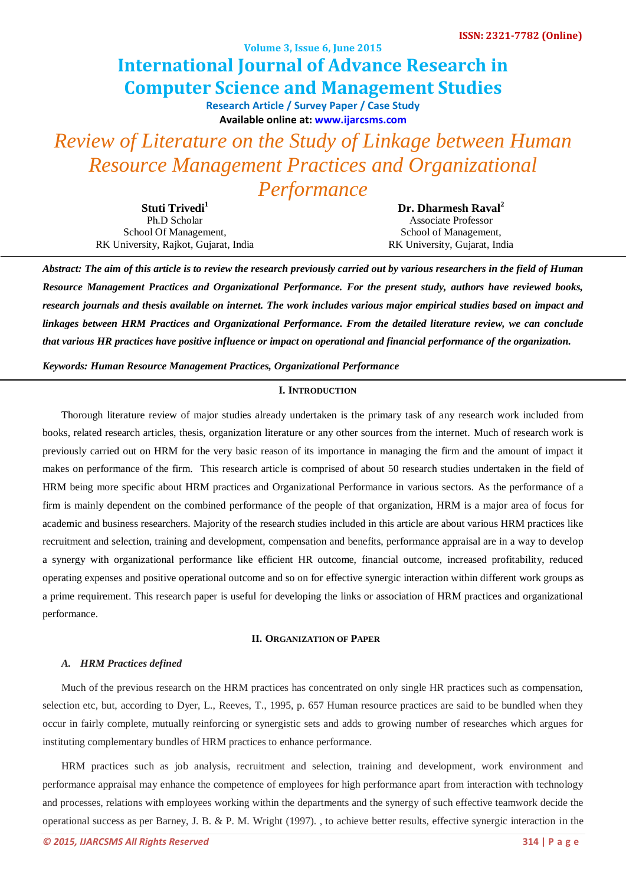**Volume 3, Issue 6, June 2015**

# **International Journal of Advance Research in Computer Science and Management Studies**

**Research Article / Survey Paper / Case Study Available online at[: www.ijarcsms.com](http://www.ijarcsms.com/)**

*Review of Literature on the Study of Linkage between Human Resource Management Practices and Organizational Performance*

| Stuti Trivedi <sup>1</sup>            | Dr. Dharmesh Raval <sup>2</sup> |
|---------------------------------------|---------------------------------|
| Ph.D Scholar                          | <b>Associate Professor</b>      |
| School Of Management,                 | School of Management,           |
| RK University, Rajkot, Gujarat, India | RK University, Gujarat, India   |

*Abstract: The aim of this article is to review the research previously carried out by various researchers in the field of Human Resource Management Practices and Organizational Performance. For the present study, authors have reviewed books, research journals and thesis available on internet. The work includes various major empirical studies based on impact and linkages between HRM Practices and Organizational Performance. From the detailed literature review, we can conclude that various HR practices have positive influence or impact on operational and financial performance of the organization.*

*Keywords: Human Resource Management Practices, Organizational Performance*

## **I. INTRODUCTION**

Thorough literature review of major studies already undertaken is the primary task of any research work included from books, related research articles, thesis, organization literature or any other sources from the internet. Much of research work is previously carried out on HRM for the very basic reason of its importance in managing the firm and the amount of impact it makes on performance of the firm. This research article is comprised of about 50 research studies undertaken in the field of HRM being more specific about HRM practices and Organizational Performance in various sectors. As the performance of a firm is mainly dependent on the combined performance of the people of that organization, HRM is a major area of focus for academic and business researchers. Majority of the research studies included in this article are about various HRM practices like recruitment and selection, training and development, compensation and benefits, performance appraisal are in a way to develop a synergy with organizational performance like efficient HR outcome, financial outcome, increased profitability, reduced operating expenses and positive operational outcome and so on for effective synergic interaction within different work groups as a prime requirement. This research paper is useful for developing the links or association of HRM practices and organizational performance.

### **II. ORGANIZATION OF PAPER**

#### *A. HRM Practices defined*

Much of the previous research on the HRM practices has concentrated on only single HR practices such as compensation, selection etc, but, according to Dyer, L., Reeves, T., 1995, p. 657 Human resource practices are said to be bundled when they occur in fairly complete, mutually reinforcing or synergistic sets and adds to growing number of researches which argues for instituting complementary bundles of HRM practices to enhance performance.

HRM practices such as job analysis, recruitment and selection, training and development, work environment and performance appraisal may enhance the competence of employees for high performance apart from interaction with technology and processes, relations with employees working within the departments and the synergy of such effective teamwork decide the operational success as per Barney, J. B. & P. M. Wright (1997). , to achieve better results, effective synergic interaction in the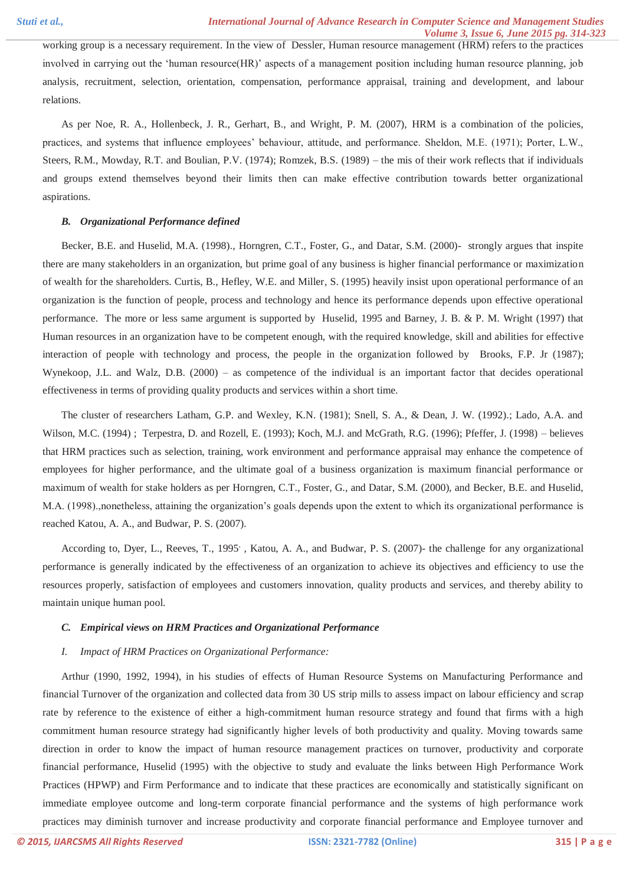working group is a necessary requirement. In the view of Dessler, Human resource management (HRM) refers to the practices involved in carrying out the 'human resource(HR)' aspects of a management position including human resource planning, job analysis, recruitment, selection, orientation, compensation, performance appraisal, training and development, and labour relations.

As per Noe, R. A., Hollenbeck, J. R., Gerhart, B., and Wright, P. M. (2007), HRM is a combination of the policies, practices, and systems that influence employees' behaviour, attitude, and performance. Sheldon, M.E. (1971); Porter, L.W., Steers, R.M., Mowday, R.T. and Boulian, P.V. (1974); Romzek, B.S. (1989) – the mis of their work reflects that if individuals and groups extend themselves beyond their limits then can make effective contribution towards better organizational aspirations.

#### *B. Organizational Performance defined*

Becker, B.E. and Huselid, M.A. (1998)., Horngren, C.T., Foster, G., and Datar, S.M. (2000)- strongly argues that inspite there are many stakeholders in an organization, but prime goal of any business is higher financial performance or maximization of wealth for the shareholders. Curtis, B., Hefley, W.E. and Miller, S. (1995) heavily insist upon operational performance of an organization is the function of people, process and technology and hence its performance depends upon effective operational performance. The more or less same argument is supported by Huselid, 1995 and Barney, J. B. & P. M. Wright (1997) that Human resources in an organization have to be competent enough, with the required knowledge, skill and abilities for effective interaction of people with technology and process, the people in the organization followed by Brooks, F.P. Jr (1987); Wynekoop, J.L. and Walz, D.B. (2000) – as competence of the individual is an important factor that decides operational effectiveness in terms of providing quality products and services within a short time.

The cluster of researchers Latham, G.P. and Wexley, K.N. (1981); Snell, S. A., & Dean, J. W. (1992).; Lado, A.A. and Wilson, M.C. (1994) ; Terpestra, D. and Rozell, E. (1993); Koch, M.J. and McGrath, R.G. (1996); Pfeffer, J. (1998) – believes that HRM practices such as selection, training, work environment and performance appraisal may enhance the competence of employees for higher performance, and the ultimate goal of a business organization is maximum financial performance or maximum of wealth for stake holders as per Horngren, C.T., Foster, G., and Datar, S.M. (2000), and Becker, B.E. and Huselid, M.A. (1998).,nonetheless, attaining the organization's goals depends upon the extent to which its organizational performance is reached Katou, A. A., and Budwar, P. S. (2007).

According to, Dyer, L., Reeves, T., 1995', Katou, A. A., and Budwar, P. S. (2007)- the challenge for any organizational performance is generally indicated by the effectiveness of an organization to achieve its objectives and efficiency to use the resources properly, satisfaction of employees and customers innovation, quality products and services, and thereby ability to maintain unique human pool.

#### *C. Empirical views on HRM Practices and Organizational Performance*

#### *I. Impact of HRM Practices on Organizational Performance:*

Arthur (1990, 1992, 1994), in his studies of effects of Human Resource Systems on Manufacturing Performance and financial Turnover of the organization and collected data from 30 US strip mills to assess impact on labour efficiency and scrap rate by reference to the existence of either a high-commitment human resource strategy and found that firms with a high commitment human resource strategy had significantly higher levels of both productivity and quality. Moving towards same direction in order to know the impact of human resource management practices on turnover, productivity and corporate financial performance, Huselid (1995) with the objective to study and evaluate the links between High Performance Work Practices (HPWP) and Firm Performance and to indicate that these practices are economically and statistically significant on immediate employee outcome and long-term corporate financial performance and the systems of high performance work practices may diminish turnover and increase productivity and corporate financial performance and Employee turnover and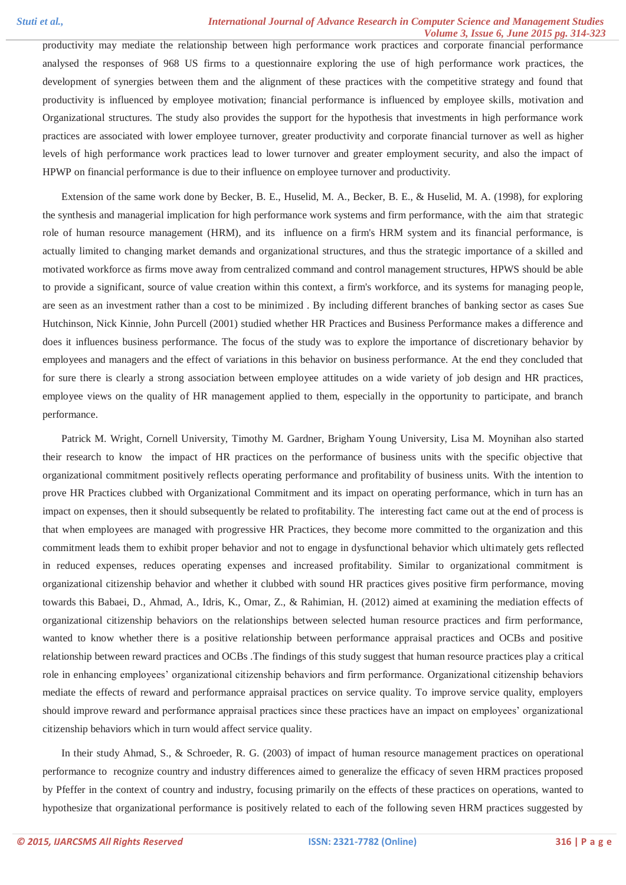productivity may mediate the relationship between high performance work practices and corporate financial performance analysed the responses of 968 US firms to a questionnaire exploring the use of high performance work practices, the development of synergies between them and the alignment of these practices with the competitive strategy and found that productivity is influenced by employee motivation; financial performance is influenced by employee skills, motivation and Organizational structures. The study also provides the support for the hypothesis that investments in high performance work practices are associated with lower employee turnover, greater productivity and corporate financial turnover as well as higher levels of high performance work practices lead to lower turnover and greater employment security, and also the impact of HPWP on financial performance is due to their influence on employee turnover and productivity.

Extension of the same work done by Becker, B. E., Huselid, M. A., Becker, B. E., & Huselid, M. A. (1998), for exploring the synthesis and managerial implication for high performance work systems and firm performance, with the aim that strategic role of human resource management (HRM), and its influence on a firm's HRM system and its financial performance, is actually limited to changing market demands and organizational structures, and thus the strategic importance of a skilled and motivated workforce as firms move away from centralized command and control management structures, HPWS should be able to provide a significant, source of value creation within this context, a firm's workforce, and its systems for managing people, are seen as an investment rather than a cost to be minimized . By including different branches of banking sector as cases Sue Hutchinson, Nick Kinnie, John Purcell (2001) studied whether HR Practices and Business Performance makes a difference and does it influences business performance. The focus of the study was to explore the importance of discretionary behavior by employees and managers and the effect of variations in this behavior on business performance. At the end they concluded that for sure there is clearly a strong association between employee attitudes on a wide variety of job design and HR practices, employee views on the quality of HR management applied to them, especially in the opportunity to participate, and branch performance.

Patrick M. Wright, Cornell University, Timothy M. Gardner, Brigham Young University, Lisa M. Moynihan also started their research to know the impact of HR practices on the performance of business units with the specific objective that organizational commitment positively reflects operating performance and profitability of business units. With the intention to prove HR Practices clubbed with Organizational Commitment and its impact on operating performance, which in turn has an impact on expenses, then it should subsequently be related to profitability. The interesting fact came out at the end of process is that when employees are managed with progressive HR Practices, they become more committed to the organization and this commitment leads them to exhibit proper behavior and not to engage in dysfunctional behavior which ultimately gets reflected in reduced expenses, reduces operating expenses and increased profitability. Similar to organizational commitment is organizational citizenship behavior and whether it clubbed with sound HR practices gives positive firm performance, moving towards this Babaei, D., Ahmad, A., Idris, K., Omar, Z., & Rahimian, H. (2012) aimed at examining the mediation effects of organizational citizenship behaviors on the relationships between selected human resource practices and firm performance, wanted to know whether there is a positive relationship between performance appraisal practices and OCBs and positive relationship between reward practices and OCBs .The findings of this study suggest that human resource practices play a critical role in enhancing employees' organizational citizenship behaviors and firm performance. Organizational citizenship behaviors mediate the effects of reward and performance appraisal practices on service quality. To improve service quality, employers should improve reward and performance appraisal practices since these practices have an impact on employees' organizational citizenship behaviors which in turn would affect service quality.

In their study Ahmad, S., & Schroeder, R. G. (2003) of impact of human resource management practices on operational performance to recognize country and industry differences aimed to generalize the efficacy of seven HRM practices proposed by Pfeffer in the context of country and industry, focusing primarily on the effects of these practices on operations, wanted to hypothesize that organizational performance is positively related to each of the following seven HRM practices suggested by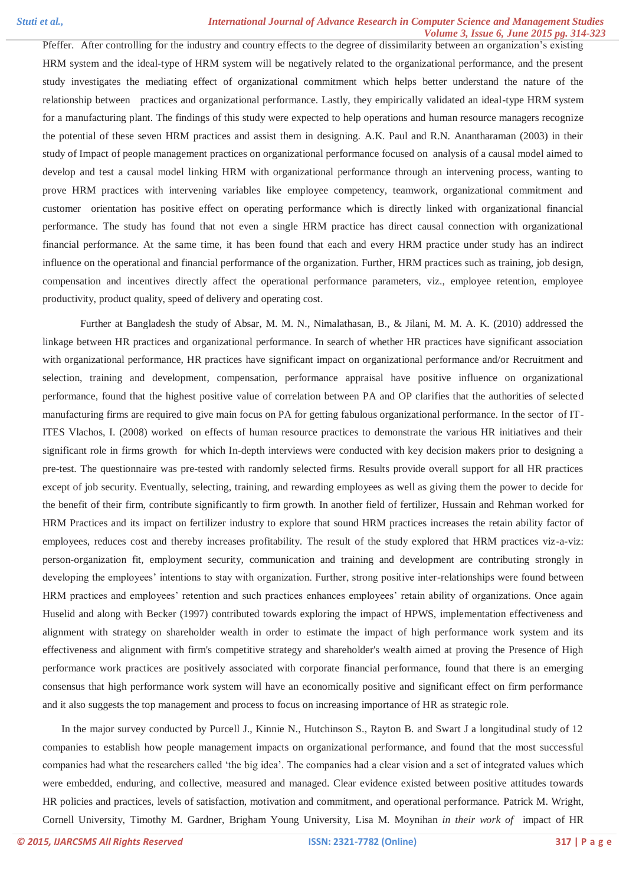Pfeffer. After controlling for the industry and country effects to the degree of dissimilarity between an organization's existing HRM system and the ideal-type of HRM system will be negatively related to the organizational performance, and the present study investigates the mediating effect of organizational commitment which helps better understand the nature of the relationship between practices and organizational performance. Lastly, they empirically validated an ideal-type HRM system for a manufacturing plant. The findings of this study were expected to help operations and human resource managers recognize the potential of these seven HRM practices and assist them in designing. A.K. Paul and R.N. Anantharaman (2003) in their study of Impact of people management practices on organizational performance focused on analysis of a causal model aimed to develop and test a causal model linking HRM with organizational performance through an intervening process, wanting to prove HRM practices with intervening variables like employee competency, teamwork, organizational commitment and customer orientation has positive effect on operating performance which is directly linked with organizational financial performance. The study has found that not even a single HRM practice has direct causal connection with organizational financial performance. At the same time, it has been found that each and every HRM practice under study has an indirect influence on the operational and financial performance of the organization. Further, HRM practices such as training, job design, compensation and incentives directly affect the operational performance parameters, viz., employee retention, employee productivity, product quality, speed of delivery and operating cost.

Further at Bangladesh the study of Absar, M. M. N., Nimalathasan, B., & Jilani, M. M. A. K. (2010) addressed the linkage between HR practices and organizational performance. In search of whether HR practices have significant association with organizational performance, HR practices have significant impact on organizational performance and/or Recruitment and selection, training and development, compensation, performance appraisal have positive influence on organizational performance, found that the highest positive value of correlation between PA and OP clarifies that the authorities of selected manufacturing firms are required to give main focus on PA for getting fabulous organizational performance. In the sector of IT-ITES Vlachos, I. (2008) worked on effects of human resource practices to demonstrate the various HR initiatives and their significant role in firms growth for which In-depth interviews were conducted with key decision makers prior to designing a pre-test. The questionnaire was pre-tested with randomly selected firms. Results provide overall support for all HR practices except of job security. Eventually, selecting, training, and rewarding employees as well as giving them the power to decide for the benefit of their firm, contribute significantly to firm growth. In another field of fertilizer, Hussain and Rehman worked for HRM Practices and its impact on fertilizer industry to explore that sound HRM practices increases the retain ability factor of employees, reduces cost and thereby increases profitability. The result of the study explored that HRM practices viz-a-viz: person-organization fit, employment security, communication and training and development are contributing strongly in developing the employees' intentions to stay with organization. Further, strong positive inter-relationships were found between HRM practices and employees' retention and such practices enhances employees' retain ability of organizations. Once again Huselid and along with Becker (1997) contributed towards exploring the impact of HPWS, implementation effectiveness and alignment with strategy on shareholder wealth in order to estimate the impact of high performance work system and its effectiveness and alignment with firm's competitive strategy and shareholder's wealth aimed at proving the Presence of High performance work practices are positively associated with corporate financial performance, found that there is an emerging consensus that high performance work system will have an economically positive and significant effect on firm performance and it also suggests the top management and process to focus on increasing importance of HR as strategic role.

In the major survey conducted by Purcell J., Kinnie N., Hutchinson S., Rayton B. and Swart J a longitudinal study of 12 companies to establish how people management impacts on organizational performance, and found that the most successful companies had what the researchers called 'the big idea'. The companies had a clear vision and a set of integrated values which were embedded, enduring, and collective, measured and managed. Clear evidence existed between positive attitudes towards HR policies and practices, levels of satisfaction, motivation and commitment, and operational performance. Patrick M. Wright, Cornell University, Timothy M. Gardner, Brigham Young University, Lisa M. Moynihan *in their work of* impact of HR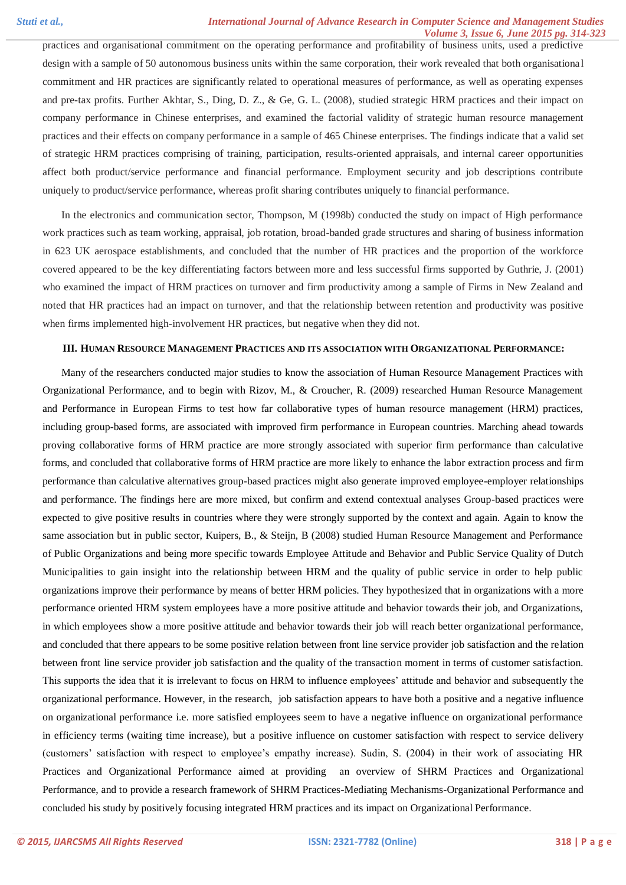practices and organisational commitment on the operating performance and profitability of business units, used a predictive design with a sample of 50 autonomous business units within the same corporation, their work revealed that both organisationa l commitment and HR practices are significantly related to operational measures of performance, as well as operating expenses and pre-tax profits. Further Akhtar, S., Ding, D. Z., & Ge, G. L. (2008), studied strategic HRM practices and their impact on company performance in Chinese enterprises, and examined the factorial validity of strategic human resource management practices and their effects on company performance in a sample of 465 Chinese enterprises. The findings indicate that a valid set of strategic HRM practices comprising of training, participation, results-oriented appraisals, and internal career opportunities affect both product/service performance and financial performance. Employment security and job descriptions contribute uniquely to product/service performance, whereas profit sharing contributes uniquely to financial performance.

In the electronics and communication sector, Thompson, M (1998b) conducted the study on impact of High performance work practices such as team working, appraisal, job rotation, broad-banded grade structures and sharing of business information in 623 UK aerospace establishments, and concluded that the number of HR practices and the proportion of the workforce covered appeared to be the key differentiating factors between more and less successful firms supported by Guthrie, J. (2001) who examined the impact of HRM practices on turnover and firm productivity among a sample of Firms in New Zealand and noted that HR practices had an impact on turnover, and that the relationship between retention and productivity was positive when firms implemented high-involvement HR practices, but negative when they did not.

#### **III. HUMAN RESOURCE MANAGEMENT PRACTICES AND ITS ASSOCIATION WITH ORGANIZATIONAL PERFORMANCE:**

Many of the researchers conducted major studies to know the association of Human Resource Management Practices with Organizational Performance, and to begin with Rizov, M., & Croucher, R. (2009) researched Human Resource Management and Performance in European Firms to test how far collaborative types of human resource management (HRM) practices, including group-based forms, are associated with improved firm performance in European countries. Marching ahead towards proving collaborative forms of HRM practice are more strongly associated with superior firm performance than calculative forms, and concluded that collaborative forms of HRM practice are more likely to enhance the labor extraction process and firm performance than calculative alternatives group-based practices might also generate improved employee-employer relationships and performance. The findings here are more mixed, but confirm and extend contextual analyses Group-based practices were expected to give positive results in countries where they were strongly supported by the context and again. Again to know the same association but in public sector, Kuipers, B., & Steijn, B (2008) studied Human Resource Management and Performance of Public Organizations and being more specific towards Employee Attitude and Behavior and Public Service Quality of Dutch Municipalities to gain insight into the relationship between HRM and the quality of public service in order to help public organizations improve their performance by means of better HRM policies. They hypothesized that in organizations with a more performance oriented HRM system employees have a more positive attitude and behavior towards their job, and Organizations, in which employees show a more positive attitude and behavior towards their job will reach better organizational performance, and concluded that there appears to be some positive relation between front line service provider job satisfaction and the relation between front line service provider job satisfaction and the quality of the transaction moment in terms of customer satisfaction. This supports the idea that it is irrelevant to focus on HRM to influence employees' attitude and behavior and subsequently the organizational performance. However, in the research, job satisfaction appears to have both a positive and a negative influence on organizational performance i.e. more satisfied employees seem to have a negative influence on organizational performance in efficiency terms (waiting time increase), but a positive influence on customer satisfaction with respect to service delivery (customers' satisfaction with respect to employee's empathy increase). Sudin, S. (2004) in their work of associating HR Practices and Organizational Performance aimed at providing an overview of SHRM Practices and Organizational Performance, and to provide a research framework of SHRM Practices-Mediating Mechanisms-Organizational Performance and concluded his study by positively focusing integrated HRM practices and its impact on Organizational Performance.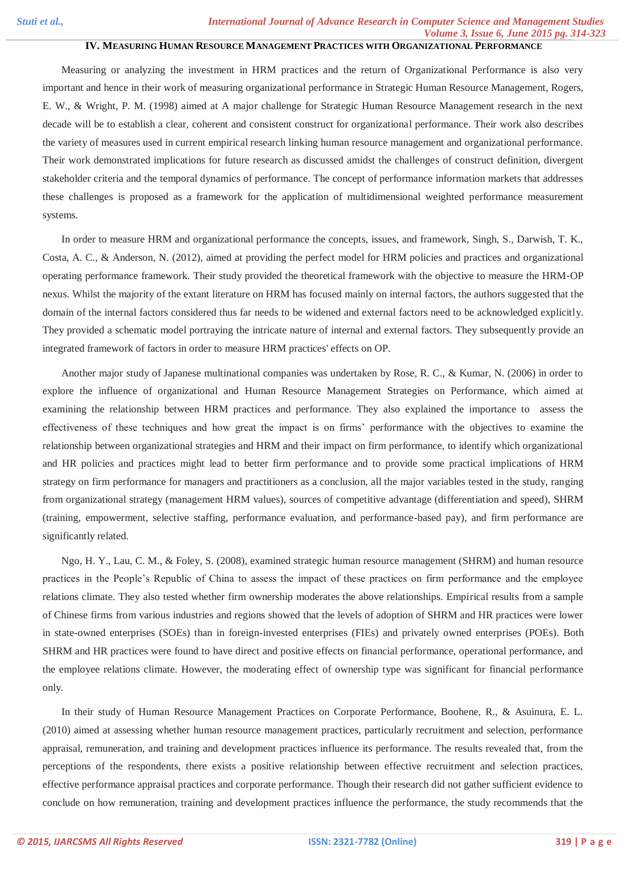# **IV. MEASURING HUMAN RESOURCE MANAGEMENT PRACTICES WITH ORGANIZATIONAL PERFORMANCE**

Measuring or analyzing the investment in HRM practices and the return of Organizational Performance is also very important and hence in their work of measuring organizational performance in Strategic Human Resource Management, Rogers, E. W., & Wright, P. M. (1998) aimed at A major challenge for Strategic Human Resource Management research in the next decade will be to establish a clear, coherent and consistent construct for organizational performance. Their work also describes the variety of measures used in current empirical research linking human resource management and organizational performance. Their work demonstrated implications for future research as discussed amidst the challenges of construct definition, divergent stakeholder criteria and the temporal dynamics of performance. The concept of performance information markets that addresses these challenges is proposed as a framework for the application of multidimensional weighted performance measurement systems.

In order to measure HRM and organizational performance the concepts, issues, and framework, Singh, S., Darwish, T. K., Costa, A. C., & Anderson, N. (2012), aimed at providing the perfect model for HRM policies and practices and organizational operating performance framework. Their study provided the theoretical framework with the objective to measure the HRM‐OP nexus. Whilst the majority of the extant literature on HRM has focused mainly on internal factors, the authors suggested that the domain of the internal factors considered thus far needs to be widened and external factors need to be acknowledged explicitly. They provided a schematic model portraying the intricate nature of internal and external factors. They subsequently provide an integrated framework of factors in order to measure HRM practices' effects on OP.

Another major study of Japanese multinational companies was undertaken by Rose, R. C., & Kumar, N. (2006) in order to explore the influence of organizational and Human Resource Management Strategies on Performance, which aimed at examining the relationship between HRM practices and performance. They also explained the importance to assess the effectiveness of these techniques and how great the impact is on firms' performance with the objectives to examine the relationship between organizational strategies and HRM and their impact on firm performance, to identify which organizational and HR policies and practices might lead to better firm performance and to provide some practical implications of HRM strategy on firm performance for managers and practitioners as a conclusion, all the major variables tested in the study, ranging from organizational strategy (management HRM values), sources of competitive advantage (differentiation and speed), SHRM (training, empowerment, selective staffing, performance evaluation, and performance-based pay), and firm performance are significantly related.

Ngo, H. Y., Lau, C. M., & Foley, S. (2008), examined strategic human resource management (SHRM) and human resource practices in the People's Republic of China to assess the impact of these practices on firm performance and the employee relations climate. They also tested whether firm ownership moderates the above relationships. Empirical results from a sample of Chinese firms from various industries and regions showed that the levels of adoption of SHRM and HR practices were lower in state-owned enterprises (SOEs) than in foreign-invested enterprises (FIEs) and privately owned enterprises (POEs). Both SHRM and HR practices were found to have direct and positive effects on financial performance, operational performance, and the employee relations climate. However, the moderating effect of ownership type was significant for financial performance only.

In their study of Human Resource Management Practices on Corporate Performance, Boohene, R., & Asuinura, E. L. (2010) aimed at assessing whether human resource management practices, particularly recruitment and selection, performance appraisal, remuneration, and training and development practices influence its performance. The results revealed that, from the perceptions of the respondents, there exists a positive relationship between effective recruitment and selection practices, effective performance appraisal practices and corporate performance. Though their research did not gather sufficient evidence to conclude on how remuneration, training and development practices influence the performance, the study recommends that the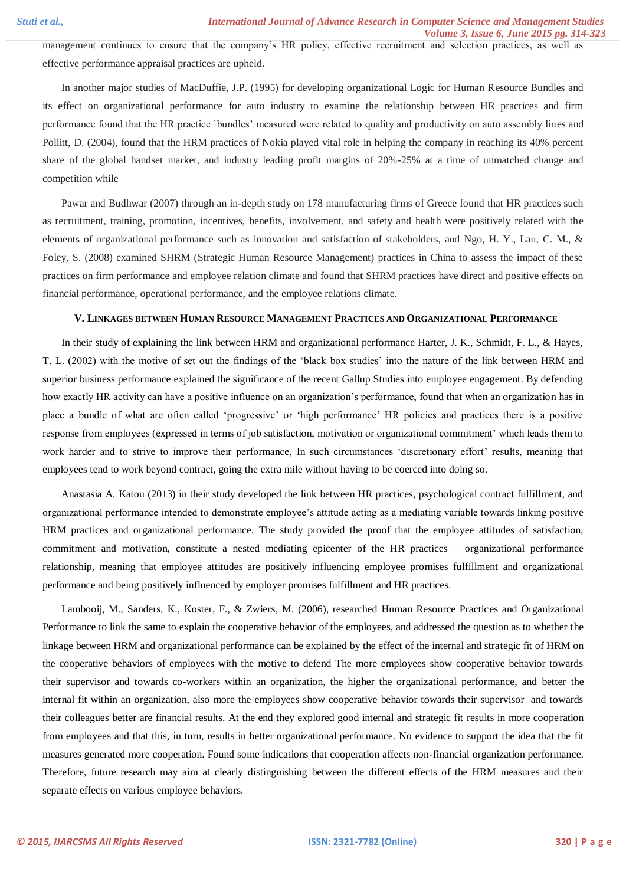management continues to ensure that the company's HR policy, effective recruitment and selection practices, as well as effective performance appraisal practices are upheld.

In another major studies of MacDuffie, J.P. (1995) for developing organizational Logic for Human Resource Bundles and its effect on organizational performance for auto industry to examine the relationship between HR practices and firm performance found that the HR practice `bundles' measured were related to quality and productivity on auto assembly lines and Pollitt, D. (2004), found that the HRM practices of Nokia played vital role in helping the company in reaching its 40% percent share of the global handset market, and industry leading profit margins of 20%-25% at a time of unmatched change and competition while

Pawar and Budhwar (2007) through an in-depth study on 178 manufacturing firms of Greece found that HR practices such as recruitment, training, promotion, incentives, benefits, involvement, and safety and health were positively related with the elements of organizational performance such as innovation and satisfaction of stakeholders, and Ngo, H. Y., Lau, C. M., & Foley, S. (2008) examined SHRM (Strategic Human Resource Management) practices in China to assess the impact of these practices on firm performance and employee relation climate and found that SHRM practices have direct and positive effects on financial performance, operational performance, and the employee relations climate.

#### **V. LINKAGES BETWEEN HUMAN RESOURCE MANAGEMENT PRACTICES AND ORGANIZATIONAL PERFORMANCE**

In their study of explaining the link between HRM and organizational performance Harter, J. K., Schmidt, F. L., & Hayes, T. L. (2002) with the motive of set out the findings of the 'black box studies' into the nature of the link between HRM and superior business performance explained the significance of the recent Gallup Studies into employee engagement. By defending how exactly HR activity can have a positive influence on an organization's performance, found that when an organization has in place a bundle of what are often called 'progressive' or 'high performance' HR policies and practices there is a positive response from employees (expressed in terms of job satisfaction, motivation or organizational commitment' which leads them to work harder and to strive to improve their performance, In such circumstances 'discretionary effort' results, meaning that employees tend to work beyond contract, going the extra mile without having to be coerced into doing so.

Anastasia A. Katou (2013) in their study developed the link between HR practices, psychological contract fulfillment, and organizational performance intended to demonstrate employee's attitude acting as a mediating variable towards linking positive HRM practices and organizational performance. The study provided the proof that the employee attitudes of satisfaction, commitment and motivation, constitute a nested mediating epicenter of the HR practices – organizational performance relationship, meaning that employee attitudes are positively influencing employee promises fulfillment and organizational performance and being positively influenced by employer promises fulfillment and HR practices.

Lambooij, M., Sanders, K., Koster, F., & Zwiers, M. (2006), researched Human Resource Practices and Organizational Performance to link the same to explain the cooperative behavior of the employees, and addressed the question as to whether the linkage between HRM and organizational performance can be explained by the effect of the internal and strategic fit of HRM on the cooperative behaviors of employees with the motive to defend The more employees show cooperative behavior towards their supervisor and towards co-workers within an organization, the higher the organizational performance, and better the internal fit within an organization, also more the employees show cooperative behavior towards their supervisor and towards their colleagues better are financial results. At the end they explored good internal and strategic fit results in more cooperation from employees and that this, in turn, results in better organizational performance. No evidence to support the idea that the fit measures generated more cooperation. Found some indications that cooperation affects non-financial organization performance. Therefore, future research may aim at clearly distinguishing between the different effects of the HRM measures and their separate effects on various employee behaviors.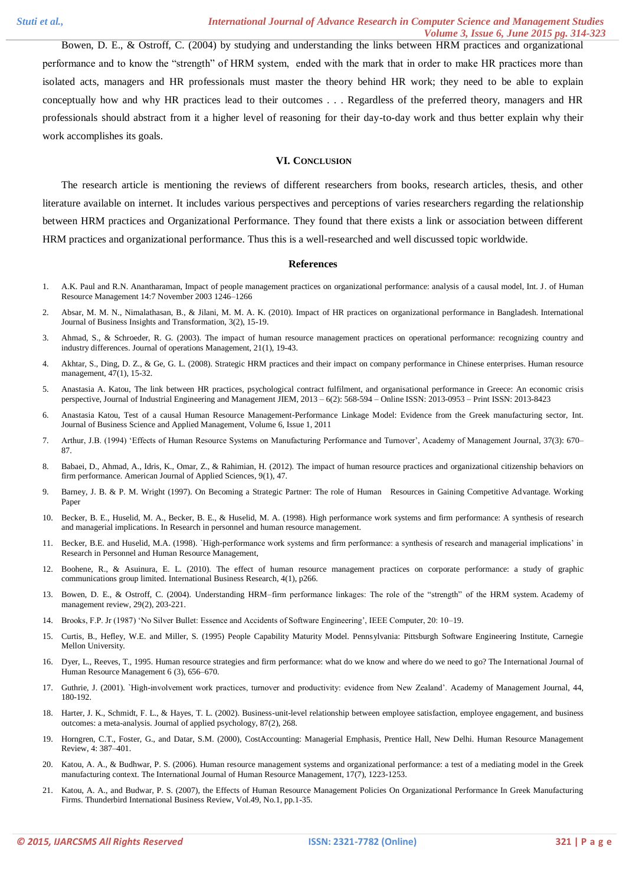Bowen, D. E., & Ostroff, C. (2004) by studying and understanding the links between HRM practices and organizational performance and to know the "strength" of HRM system, ended with the mark that in order to make HR practices more than isolated acts, managers and HR professionals must master the theory behind HR work; they need to be able to explain conceptually how and why HR practices lead to their outcomes . . . Regardless of the preferred theory, managers and HR professionals should abstract from it a higher level of reasoning for their day-to-day work and thus better explain why their work accomplishes its goals.

#### **VI. CONCLUSION**

The research article is mentioning the reviews of different researchers from books, research articles, thesis, and other literature available on internet. It includes various perspectives and perceptions of varies researchers regarding the relationship between HRM practices and Organizational Performance. They found that there exists a link or association between different HRM practices and organizational performance. Thus this is a well-researched and well discussed topic worldwide.

#### **References**

- 1. A.K. Paul and R.N. Anantharaman, Impact of people management practices on organizational performance: analysis of a causal model, Int. J. of Human Resource Management 14:7 November 2003 1246–1266
- 2. Absar, M. M. N., Nimalathasan, B., & Jilani, M. M. A. K. (2010). Impact of HR practices on organizational performance in Bangladesh. International Journal of Business Insights and Transformation, 3(2), 15-19.
- 3. Ahmad, S., & Schroeder, R. G. (2003). The impact of human resource management practices on operational performance: recognizing country and industry differences. Journal of operations Management, 21(1), 19-43.
- 4. Akhtar, S., Ding, D. Z., & Ge, G. L. (2008). Strategic HRM practices and their impact on company performance in Chinese enterprises. Human resource management, 47(1), 15-32.
- 5. Anastasia A. Katou, The link between HR practices, psychological contract fulfilment, and organisational performance in Greece: An economic crisis perspective, Journal of Industrial Engineering and Management JIEM, 2013 – 6(2): 568-594 – Online ISSN: 2013-0953 – Print ISSN: 2013-8423
- 6. Anastasia Katou, Test of a causal Human Resource Management-Performance Linkage Model: Evidence from the Greek manufacturing sector, Int. Journal of Business Science and Applied Management, Volume 6, Issue 1, 2011
- 7. Arthur, J.B. (1994) 'Effects of Human Resource Systems on Manufacturing Performance and Turnover', Academy of Management Journal, 37(3): 670– 87.
- 8. Babaei, D., Ahmad, A., Idris, K., Omar, Z., & Rahimian, H. (2012). The impact of human resource practices and organizational citizenship behaviors on firm performance. American Journal of Applied Sciences, 9(1), 47.
- 9. Barney, J. B. & P. M. Wright (1997). On Becoming a Strategic Partner: The role of Human Resources in Gaining Competitive Advantage. Working Paper
- 10. Becker, B. E., Huselid, M. A., Becker, B. E., & Huselid, M. A. (1998). High performance work systems and firm performance: A synthesis of research and managerial implications. In Research in personnel and human resource management.
- 11. Becker, B.E. and Huselid, M.A. (1998). `High-performance work systems and firm performance: a synthesis of research and managerial implications' in Research in Personnel and Human Resource Management,
- 12. Boohene, R., & Asuinura, E. L. (2010). The effect of human resource management practices on corporate performance: a study of graphic communications group limited. International Business Research, 4(1), p266.
- 13. Bowen, D. E., & Ostroff, C. (2004). Understanding HRM–firm performance linkages: The role of the "strength" of the HRM system. Academy of management review, 29(2), 203-221.
- 14. Brooks, F.P. Jr (1987) 'No Silver Bullet: Essence and Accidents of Software Engineering', IEEE Computer, 20: 10–19.
- 15. Curtis, B., Hefley, W.E. and Miller, S. (1995) People Capability Maturity Model. Pennsylvania: Pittsburgh Software Engineering Institute, Carnegie Mellon University.
- 16. Dyer, L., Reeves, T., 1995. Human resource strategies and firm performance: what do we know and where do we need to go? The International Journal of Human Resource Management 6 (3), 656–670.
- 17. Guthrie, J. (2001). `High-involvement work practices, turnover and productivity: evidence from New Zealand'. Academy of Management Journal, 44, 180-192.
- 18. Harter, J. K., Schmidt, F. L., & Hayes, T. L. (2002). Business-unit-level relationship between employee satisfaction, employee engagement, and business outcomes: a meta-analysis. Journal of applied psychology, 87(2), 268.
- 19. Horngren, C.T., Foster, G., and Datar, S.M. (2000), CostAccounting: Managerial Emphasis, Prentice Hall, New Delhi. Human Resource Management Review, 4: 387–401.
- 20. Katou, A. A., & Budhwar, P. S. (2006). Human resource management systems and organizational performance: a test of a mediating model in the Greek manufacturing context. The International Journal of Human Resource Management, 17(7), 1223-1253.
- 21. Katou, A. A., and Budwar, P. S. (2007), the Effects of Human Resource Management Policies On Organizational Performance In Greek Manufacturing Firms. Thunderbird International Business Review, Vol.49, No.1, pp.1-35.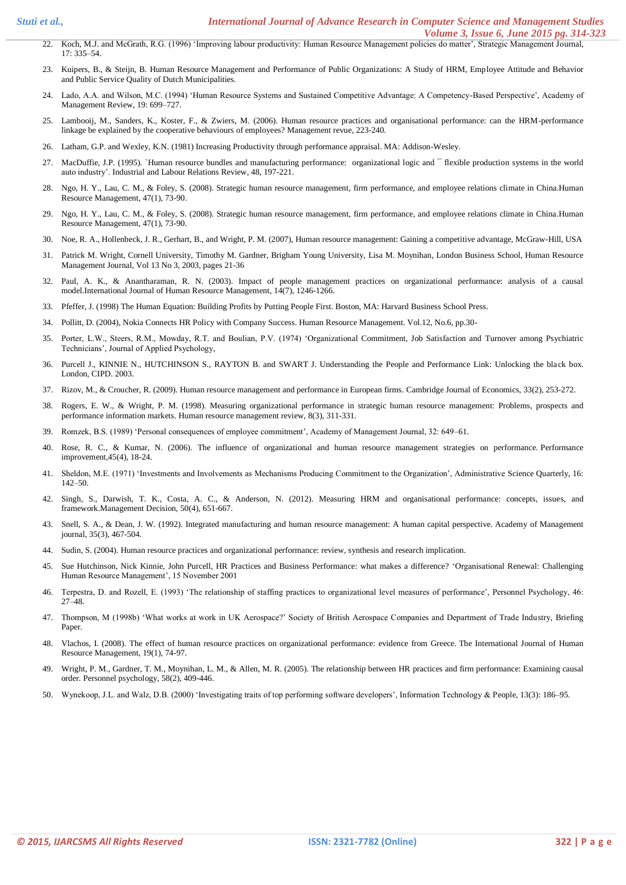- 22. Koch, M.J. and McGrath, R.G. (1996) 'Improving labour productivity: Human Resource Management policies do matter', Strategic Management Journal, 17: 335–54.
- 23. Kuipers, B., & Steijn, B. Human Resource Management and Performance of Public Organizations: A Study of HRM, Employee Attitude and Behavior and Public Service Quality of Dutch Municipalities.
- 24. Lado, A.A. and Wilson, M.C. (1994) 'Human Resource Systems and Sustained Competitive Advantage: A Competency-Based Perspective', Academy of Management Review, 19: 699–727.
- 25. Lambooij, M., Sanders, K., Koster, F., & Zwiers, M. (2006). Human resource practices and organisational performance: can the HRM-performance linkage be explained by the cooperative behaviours of employees? Management revue, 223-240.
- 26. Latham, G.P. and Wexley, K.N. (1981) Increasing Productivity through performance appraisal. MA: Addison-Wesley.
- 27. MacDuffie, J.P. (1995). `Human resource bundles and manufacturing performance: organizational logic and  $\bar{ }$  flexible production systems in the world auto industry'. Industrial and Labour Relations Review, 48, 197-221.
- 28. Ngo, H. Y., Lau, C. M., & Foley, S. (2008). Strategic human resource management, firm performance, and employee relations climate in China.Human Resource Management, 47(1), 73-90.
- 29. Ngo, H. Y., Lau, C. M., & Foley, S. (2008). Strategic human resource management, firm performance, and employee relations climate in China.Human Resource Management, 47(1), 73-90.
- 30. Noe, R. A., Hollenbeck, J. R., Gerhart, B., and Wright, P. M. (2007), Human resource management: Gaining a competitive advantage, McGraw-Hill, USA
- 31. Patrick M. Wright, Cornell University, Timothy M. Gardner, Brigham Young University, Lisa M. Moynihan, London Business School, Human Resource Management Journal, Vol 13 No 3, 2003, pages 21-36
- 32. Paul, A. K., & Anantharaman, R. N. (2003). Impact of people management practices on organizational performance: analysis of a causal model.International Journal of Human Resource Management, 14(7), 1246-1266.
- 33. Pfeffer, J. (1998) The Human Equation: Building Profits by Putting People First. Boston, MA: Harvard Business School Press.
- 34. Pollitt, D. (2004), Nokia Connects HR Policy with Company Success. Human Resource Management. Vol.12, No.6, pp.30-
- 35. Porter, L.W., Steers, R.M., Mowday, R.T. and Boulian, P.V. (1974) 'Organizational Commitment, Job Satisfaction and Turnover among Psychiatric Technicians', Journal of Applied Psychology,
- 36. Purcell J., KINNIE N., HUTCHINSON S., RAYTON B. and SWART J. Understanding the People and Performance Link: Unlocking the black box. London, CIPD. 2003.
- 37. Rizov, M., & Croucher, R. (2009). Human resource management and performance in European firms. Cambridge Journal of Economics, 33(2), 253-272.
- 38. Rogers, E. W., & Wright, P. M. (1998). Measuring organizational performance in strategic human resource management: Problems, prospects and performance information markets. Human resource management review, 8(3), 311-331.
- 39. Romzek, B.S. (1989) 'Personal consequences of employee commitment', Academy of Management Journal, 32: 649–61.
- 40. Rose, R. C., & Kumar, N. (2006). The influence of organizational and human resource management strategies on performance. Performance improvement,45(4), 18-24.
- 41. Sheldon, M.E. (1971) 'Investments and Involvements as Mechanisms Producing Commitment to the Organization', Administrative Science Quarterly, 16: 142–50.
- 42. Singh, S., Darwish, T. K., Costa, A. C., & Anderson, N. (2012). Measuring HRM and organisational performance: concepts, issues, and framework.Management Decision, 50(4), 651-667.
- 43. Snell, S. A., & Dean, J. W. (1992). Integrated manufacturing and human resource management: A human capital perspective. Academy of Management journal, 35(3), 467-504.
- 44. Sudin, S. (2004). Human resource practices and organizational performance: review, synthesis and research implication.
- 45. Sue Hutchinson, Nick Kinnie, John Purcell, HR Practices and Business Performance: what makes a difference? 'Organisational Renewal: Challenging Human Resource Management', 15 November 2001
- 46. Terpestra, D. and Rozell, E. (1993) 'The relationship of staffing practices to organizational level measures of performance', Personnel Psychology, 46: 27–48.
- 47. Thompson, M (1998b) 'What works at work in UK Aerospace?' Society of British Aerospace Companies and Department of Trade Industry, Briefing Paper.
- 48. Vlachos, I. (2008). The effect of human resource practices on organizational performance: evidence from Greece. The International Journal of Human Resource Management, 19(1), 74-97.
- 49. Wright, P. M., Gardner, T. M., Moynihan, L. M., & Allen, M. R. (2005). The relationship between HR practices and firm performance: Examining causal order. Personnel psychology, 58(2), 409-446.
- 50. Wynekoop, J.L. and Walz, D.B. (2000) 'Investigating traits of top performing software developers', Information Technology & People, 13(3): 186–95.